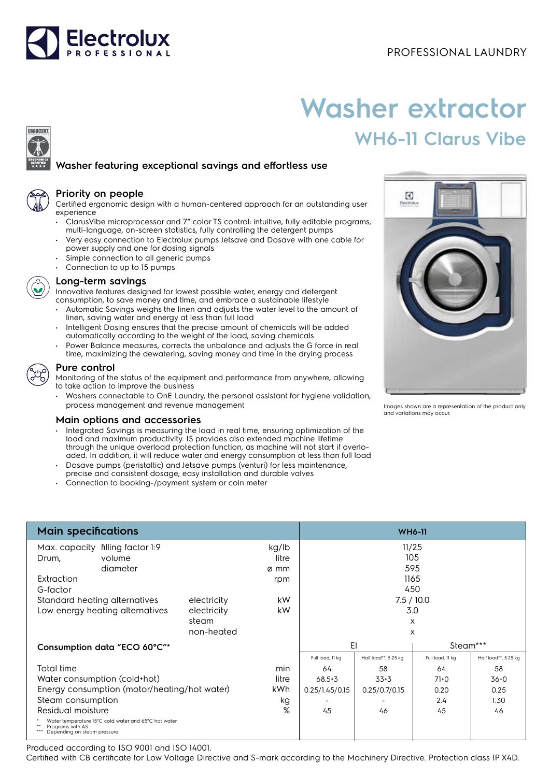

## PROFESSIONAL LAUNDRY

# **Washer extractor WH6-11 Clarus Vibe**

## **Washer featuring exceptional savings and effortless use**



**ERGOCERT** 

#### **Priority on people**

Certified ergonomic design with a human-centered approach for an outstanding user experience

- ClarusVibe microprocessor and 7" color TS control: intuitive, fully editable programs, multi-language, on-screen statistics, fully controlling the detergent pumps
- Very easy connection to Electrolux pumps Jetsave and Dosave with one cable for power supply and one for dosing signals
- Simple connection to all generic pumps
- Connection to up to 15 pumps



#### **Long-term savings**

Innovative features designed for lowest possible water, energy and detergent consumption, to save money and time, and embrace a sustainable lifestyle

- Automatic Savings weighs the linen and adjusts the water level to the amount of linen, saving water and energy at less than full load
- Intelligent Dosing ensures that the precise amount of chemicals will be added automatically according to the weight of the load, saving chemicals
- Power Balance measures, corrects the unbalance and adjusts the G force in real time, maximizing the dewatering, saving money and time in the drying process

### **Pure control**

Monitoring of the status of the equipment and performance from anywhere, allowing to take action to improve the business

• Washers connectable to OnE Laundry, the personal assistant for hygiene validation, process management and revenue management

#### **Main options and accessories**

- Integrated Savings is measuring the load in real time, ensuring optimization of the load and maximum productivity. IS provides also extended machine lifetime through the unique overload protection function, as machine will not start if overloaded. In addition, it will reduce water and energy consumption at less than full load
- Dosave pumps (peristaltic) and Jetsave pumps (venturi) for less maintenance, precise and consistent dosage, easy installation and durable valves
- Connection to booking-/payment system or coin meter



Images shown are a representation of the product only and variations may occur.

| <b>Main specifications</b>                                                                                 | <b>WH6-11</b> |            |                  |                      |                  |                      |
|------------------------------------------------------------------------------------------------------------|---------------|------------|------------------|----------------------|------------------|----------------------|
| Max. capacity filling factor 1:9                                                                           |               | kg/lb      | 11/25            |                      |                  |                      |
| volume<br>Drum,                                                                                            |               | litre      |                  | 105                  |                  |                      |
| diameter                                                                                                   |               | ø mm       |                  |                      | 595              |                      |
| Extraction                                                                                                 |               | rpm        |                  |                      | 1165             |                      |
| G-factor                                                                                                   |               |            |                  | 450                  |                  |                      |
| Standard heating alternatives                                                                              | electricity   | kW         | 7.5/10.0         |                      |                  |                      |
| Low energy heating alternatives                                                                            | electricity   | kW         |                  |                      | 3.0              |                      |
|                                                                                                            | steam         |            |                  |                      | X                |                      |
|                                                                                                            | non-heated    |            |                  |                      | X                |                      |
| Consumption data "ECO 60°C"*                                                                               |               |            | EI<br>Steam***   |                      |                  |                      |
|                                                                                                            |               |            | Full load, 11 kg | Half load**, 5.25 kg | Full load, 11 kg | Half load**, 5.25 kg |
| Total time                                                                                                 |               | min        | 64               | 58                   | 64               | 58                   |
| Water consumption (cold+hot)                                                                               | litre         | $68.5 + 3$ | $33+3$           | $71+0$               | 36+0             |                      |
| Energy consumption (motor/heating/hot water)                                                               |               | kWh        | 0.25/1.45/0.15   | 0.25/0.7/0.15        | 0.20             | 0.25                 |
| Steam consumption                                                                                          |               | kg         |                  |                      | 2.4              | 1.30                 |
| Residual moisture                                                                                          |               | %          | 45               | 46                   | 45               | 46                   |
| Water temperature 15°C cold water and 65°C hot water.<br>Programs with AS.<br>Depending on steam pressure. |               |            |                  |                      |                  |                      |

Produced according to ISO 9001 and ISO 14001.

Certified with CB certificate for Low Voltage Directive and S-mark according to the Machinery Directive. Protection class IP X4D.